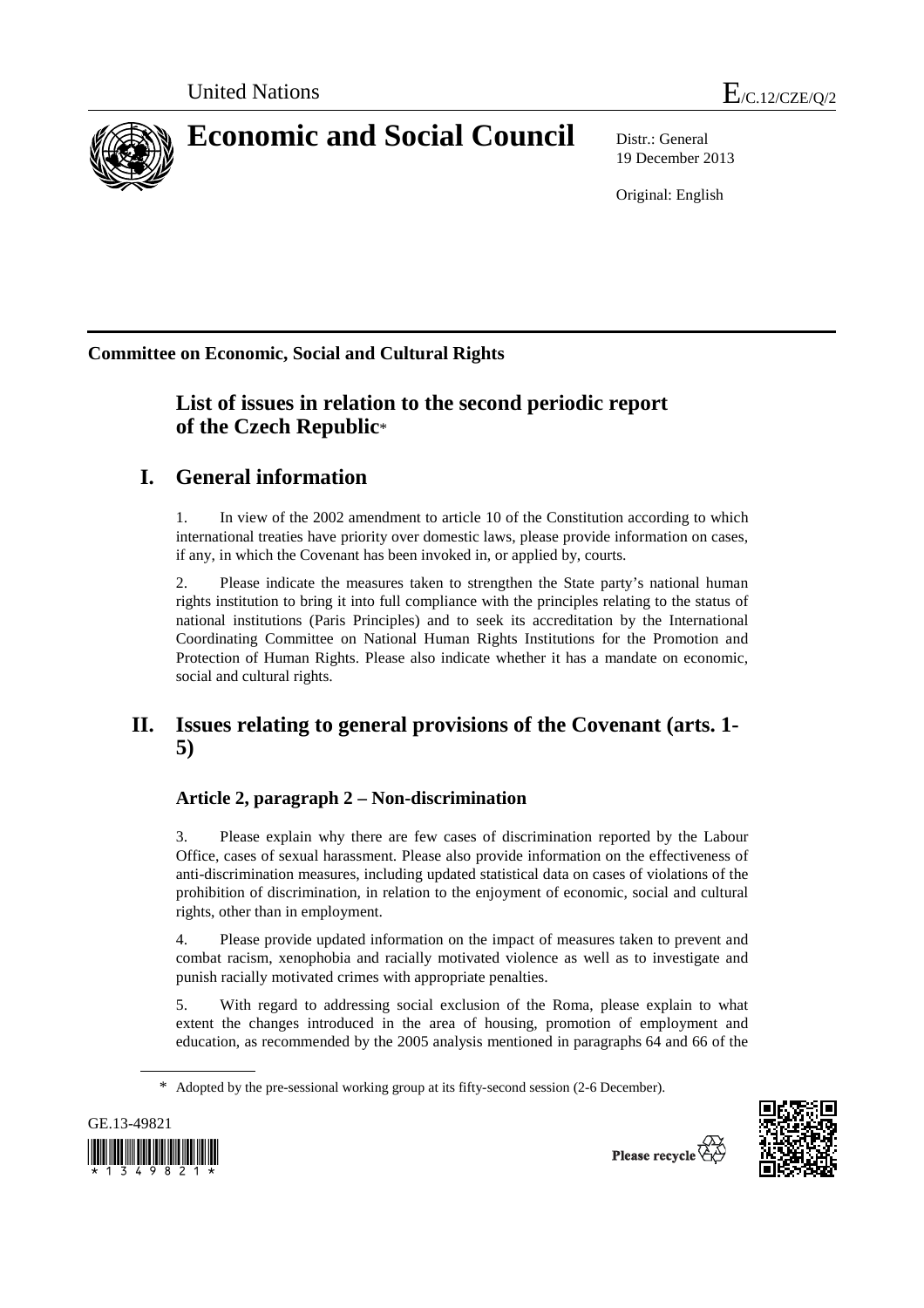

19 December 2013

Original: English

**Committee on Economic, Social and Cultural Rights**

# **List of issues in relation to the second periodic report of the Czech Republic**\*

# **I. General information**

1. In view of the 2002 amendment to article 10 of the Constitution according to which international treaties have priority over domestic laws, please provide information on cases, if any, in which the Covenant has been invoked in, or applied by, courts.

2. Please indicate the measures taken to strengthen the State party's national human rights institution to bring it into full compliance with the principles relating to the status of national institutions (Paris Principles) and to seek its accreditation by the International Coordinating Committee on National Human Rights Institutions for the Promotion and Protection of Human Rights. Please also indicate whether it has a mandate on economic, social and cultural rights.

# **II. Issues relating to general provisions of the Covenant (arts. 1- 5)**

## **Article 2, paragraph 2 – Non-discrimination**

3. Please explain why there are few cases of discrimination reported by the Labour Office, cases of sexual harassment. Please also provide information on the effectiveness of anti-discrimination measures, including updated statistical data on cases of violations of the prohibition of discrimination, in relation to the enjoyment of economic, social and cultural rights, other than in employment.

4. Please provide updated information on the impact of measures taken to prevent and combat racism, xenophobia and racially motivated violence as well as to investigate and punish racially motivated crimes with appropriate penalties.

5. With regard to addressing social exclusion of the Roma, please explain to what extent the changes introduced in the area of housing, promotion of employment and education, as recommended by the 2005 analysis mentioned in paragraphs 64 and 66 of the

<sup>\*</sup> Adopted by the pre-sessional working group at its fifty-second session (2-6 December).



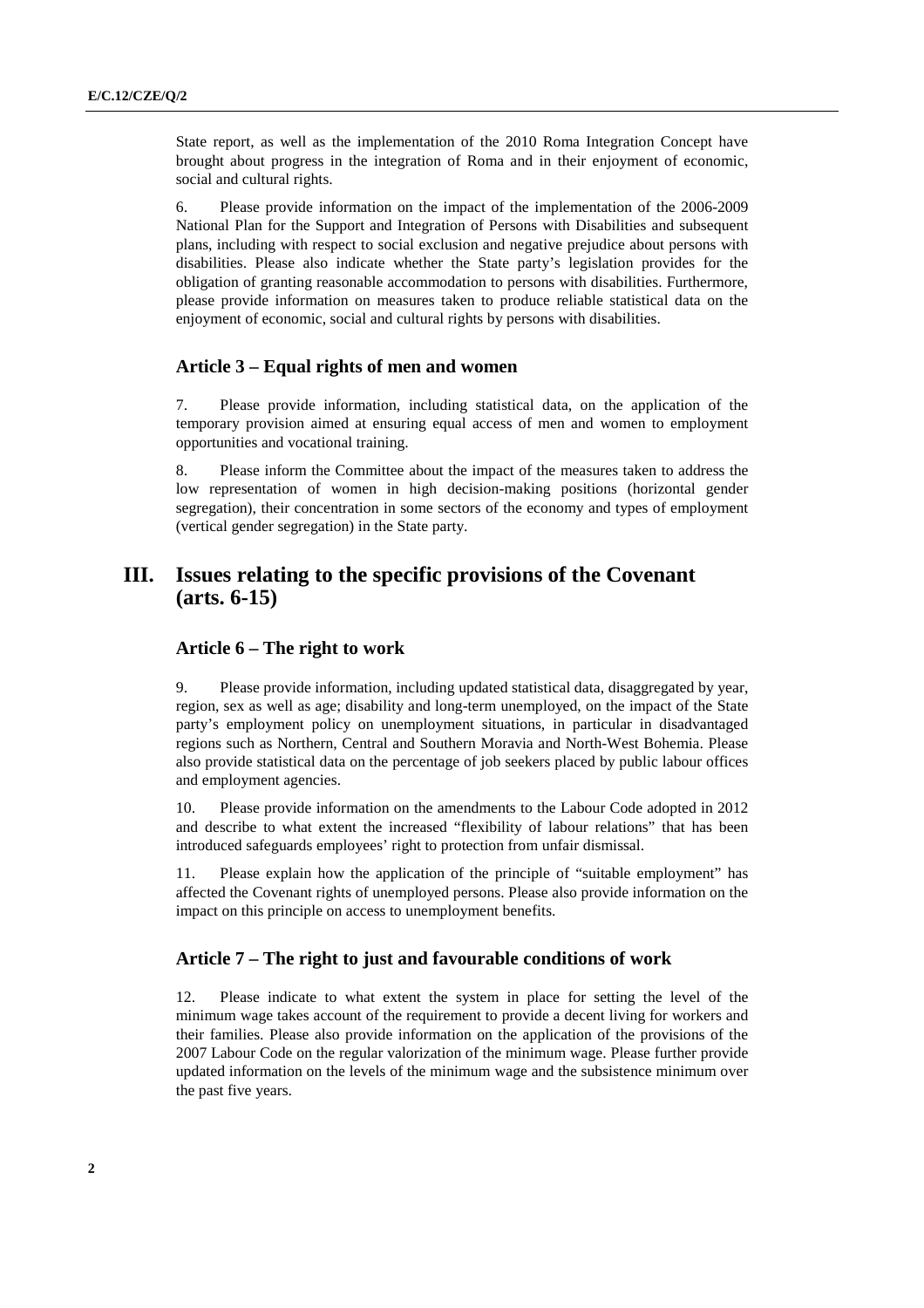State report, as well as the implementation of the 2010 Roma Integration Concept have brought about progress in the integration of Roma and in their enjoyment of economic, social and cultural rights.

6. Please provide information on the impact of the implementation of the 2006-2009 National Plan for the Support and Integration of Persons with Disabilities and subsequent plans, including with respect to social exclusion and negative prejudice about persons with disabilities. Please also indicate whether the State party's legislation provides for the obligation of granting reasonable accommodation to persons with disabilities. Furthermore, please provide information on measures taken to produce reliable statistical data on the enjoyment of economic, social and cultural rights by persons with disabilities.

#### **Article 3 – Equal rights of men and women**

7. Please provide information, including statistical data, on the application of the temporary provision aimed at ensuring equal access of men and women to employment opportunities and vocational training.

8. Please inform the Committee about the impact of the measures taken to address the low representation of women in high decision-making positions (horizontal gender segregation), their concentration in some sectors of the economy and types of employment (vertical gender segregation) in the State party.

### **III. Issues relating to the specific provisions of the Covenant (arts. 6-15)**

#### **Article 6 – The right to work**

9. Please provide information, including updated statistical data, disaggregated by year, region, sex as well as age; disability and long-term unemployed, on the impact of the State party's employment policy on unemployment situations, in particular in disadvantaged regions such as Northern, Central and Southern Moravia and North-West Bohemia. Please also provide statistical data on the percentage of job seekers placed by public labour offices and employment agencies.

10. Please provide information on the amendments to the Labour Code adopted in 2012 and describe to what extent the increased "flexibility of labour relations" that has been introduced safeguards employees' right to protection from unfair dismissal.

11. Please explain how the application of the principle of "suitable employment" has affected the Covenant rights of unemployed persons. Please also provide information on the impact on this principle on access to unemployment benefits.

#### **Article 7 – The right to just and favourable conditions of work**

12. Please indicate to what extent the system in place for setting the level of the minimum wage takes account of the requirement to provide a decent living for workers and their families. Please also provide information on the application of the provisions of the 2007 Labour Code on the regular valorization of the minimum wage. Please further provide updated information on the levels of the minimum wage and the subsistence minimum over the past five years.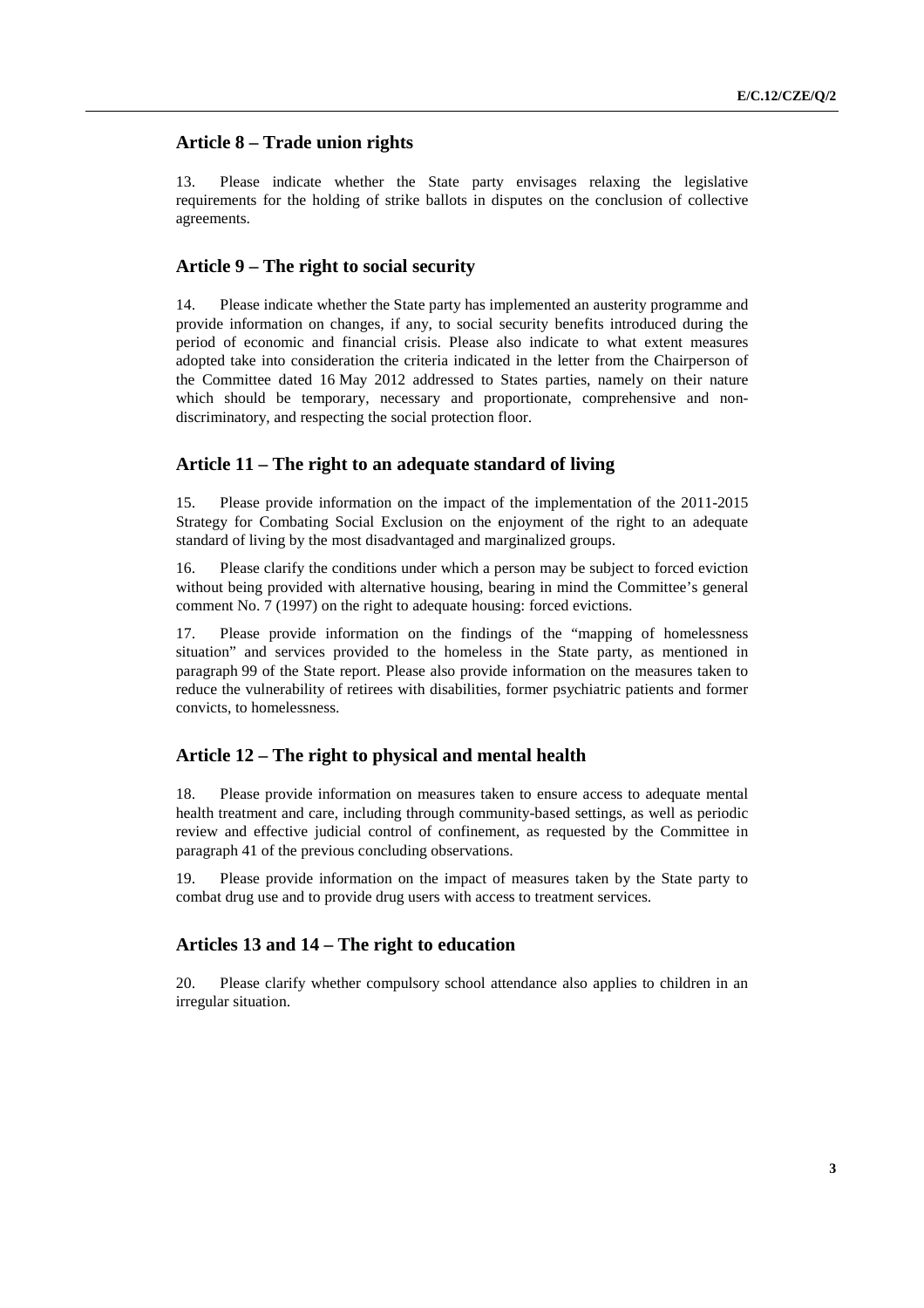### **Article 8 – Trade union rights**

13. Please indicate whether the State party envisages relaxing the legislative requirements for the holding of strike ballots in disputes on the conclusion of collective agreements.

#### **Article 9 – The right to social security**

14. Please indicate whether the State party has implemented an austerity programme and provide information on changes, if any, to social security benefits introduced during the period of economic and financial crisis. Please also indicate to what extent measures adopted take into consideration the criteria indicated in the letter from the Chairperson of the Committee dated 16 May 2012 addressed to States parties, namely on their nature which should be temporary, necessary and proportionate, comprehensive and nondiscriminatory, and respecting the social protection floor.

#### **Article 11 – The right to an adequate standard of living**

15. Please provide information on the impact of the implementation of the 2011-2015 Strategy for Combating Social Exclusion on the enjoyment of the right to an adequate standard of living by the most disadvantaged and marginalized groups.

16. Please clarify the conditions under which a person may be subject to forced eviction without being provided with alternative housing, bearing in mind the Committee's general comment No. 7 (1997) on the right to adequate housing: forced evictions.

17. Please provide information on the findings of the "mapping of homelessness situation" and services provided to the homeless in the State party, as mentioned in paragraph 99 of the State report. Please also provide information on the measures taken to reduce the vulnerability of retirees with disabilities, former psychiatric patients and former convicts, to homelessness.

#### **Article 12 – The right to physical and mental health**

18. Please provide information on measures taken to ensure access to adequate mental health treatment and care, including through community-based settings, as well as periodic review and effective judicial control of confinement, as requested by the Committee in paragraph 41 of the previous concluding observations.

19. Please provide information on the impact of measures taken by the State party to combat drug use and to provide drug users with access to treatment services.

#### **Articles 13 and 14 – The right to education**

20. Please clarify whether compulsory school attendance also applies to children in an irregular situation.